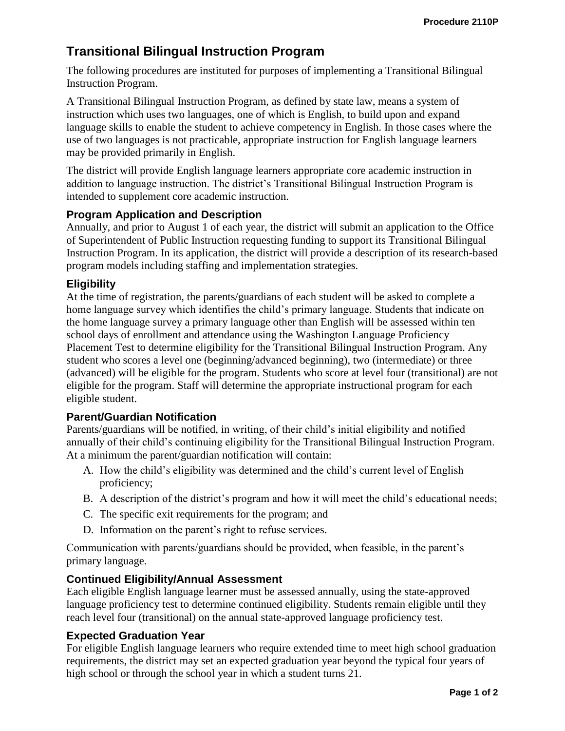# **Transitional Bilingual Instruction Program**

The following procedures are instituted for purposes of implementing a Transitional Bilingual Instruction Program.

A Transitional Bilingual Instruction Program, as defined by state law, means a system of instruction which uses two languages, one of which is English, to build upon and expand language skills to enable the student to achieve competency in English. In those cases where the use of two languages is not practicable, appropriate instruction for English language learners may be provided primarily in English.

The district will provide English language learners appropriate core academic instruction in addition to language instruction. The district's Transitional Bilingual Instruction Program is intended to supplement core academic instruction.

## **Program Application and Description**

Annually, and prior to August 1 of each year, the district will submit an application to the Office of Superintendent of Public Instruction requesting funding to support its Transitional Bilingual Instruction Program. In its application, the district will provide a description of its research-based program models including staffing and implementation strategies.

## **Eligibility**

At the time of registration, the parents/guardians of each student will be asked to complete a home language survey which identifies the child's primary language. Students that indicate on the home language survey a primary language other than English will be assessed within ten school days of enrollment and attendance using the Washington Language Proficiency Placement Test to determine eligibility for the Transitional Bilingual Instruction Program. Any student who scores a level one (beginning/advanced beginning), two (intermediate) or three (advanced) will be eligible for the program. Students who score at level four (transitional) are not eligible for the program. Staff will determine the appropriate instructional program for each eligible student.

### **Parent/Guardian Notification**

Parents/guardians will be notified, in writing, of their child's initial eligibility and notified annually of their child's continuing eligibility for the Transitional Bilingual Instruction Program. At a minimum the parent/guardian notification will contain:

- A. How the child's eligibility was determined and the child's current level of English proficiency;
- B. A description of the district's program and how it will meet the child's educational needs;
- C. The specific exit requirements for the program; and
- D. Information on the parent's right to refuse services.

Communication with parents/guardians should be provided, when feasible, in the parent's primary language.

### **Continued Eligibility/Annual Assessment**

Each eligible English language learner must be assessed annually, using the state-approved language proficiency test to determine continued eligibility. Students remain eligible until they reach level four (transitional) on the annual state-approved language proficiency test.

### **Expected Graduation Year**

For eligible English language learners who require extended time to meet high school graduation requirements, the district may set an expected graduation year beyond the typical four years of high school or through the school year in which a student turns 21.